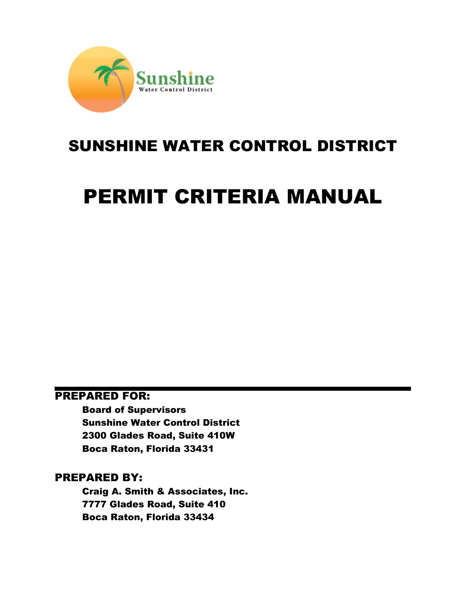

# SUNSHINE WATER CONTROL DISTRICT

# PERMIT CRITERIA MANUAL

# PREPARED FOR:

Board of Supervisors Sunshine Water Control District 2300 Glades Road, Suite 410W Boca Raton, Florida 33431

# PREPARED BY:

Craig A. Smith & Associates, Inc. 7777 Glades Road, Suite 410 Boca Raton, Florida 33434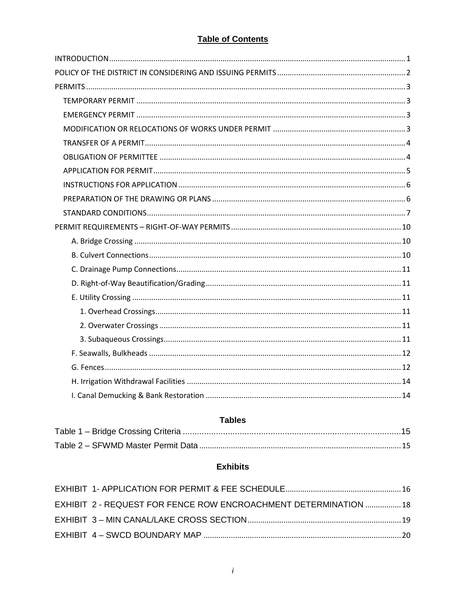# **Table of Contents**

## **Tables**

# **Exhibits**

| EXHIBIT 2 - REQUEST FOR FENCE ROW ENCROACHMENT DETERMINATION  18 |  |
|------------------------------------------------------------------|--|
|                                                                  |  |
|                                                                  |  |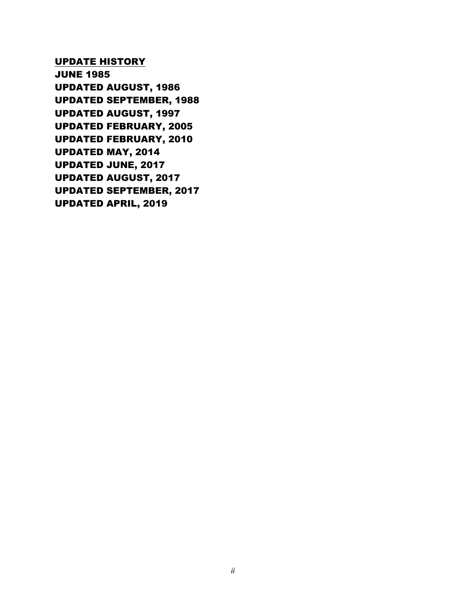UPDATE HISTORY

JUNE 1985 UPDATED AUGUST, 1986 UPDATED SEPTEMBER, 1988 UPDATED AUGUST, 1997 UPDATED FEBRUARY, 2005 UPDATED FEBRUARY, 2010 UPDATED MAY, 2014 UPDATED JUNE, 2017 UPDATED AUGUST, 2017 UPDATED SEPTEMBER, 2017 UPDATED APRIL, 2019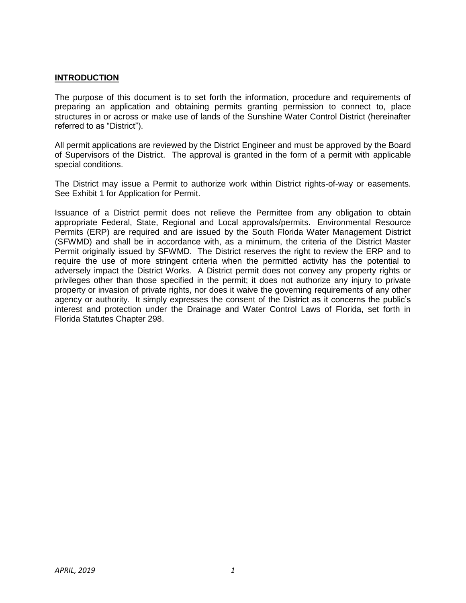#### <span id="page-3-0"></span>**INTRODUCTION**

 The purpose of this document is to set forth the information, procedure and requirements of preparing an application and obtaining permits granting permission to connect to, place structures in or across or make use of lands of the Sunshine Water Control District (hereinafter referred to as "District").

 All permit applications are reviewed by the District Engineer and must be approved by the Board of Supervisors of the District. The approval is granted in the form of a permit with applicable special conditions.

 The District may issue a Permit to authorize work within District rights-of-way or easements. See Exhibit 1 for Application for Permit.

 Issuance of a District permit does not relieve the Permittee from any obligation to obtain appropriate Federal, State, Regional and Local approvals/permits. Environmental Resource Permits (ERP) are required and are issued by the South Florida Water Management District (SFWMD) and shall be in accordance with, as a minimum, the criteria of the District Master Permit originally issued by SFWMD. The District reserves the right to review the ERP and to require the use of more stringent criteria when the permitted activity has the potential to adversely impact the District Works. A District permit does not convey any property rights or privileges other than those specified in the permit; it does not authorize any injury to private property or invasion of private rights, nor does it waive the governing requirements of any other agency or authority. It simply expresses the consent of the District as it concerns the public's interest and protection under the Drainage and Water Control Laws of Florida, set forth in Florida Statutes Chapter 298.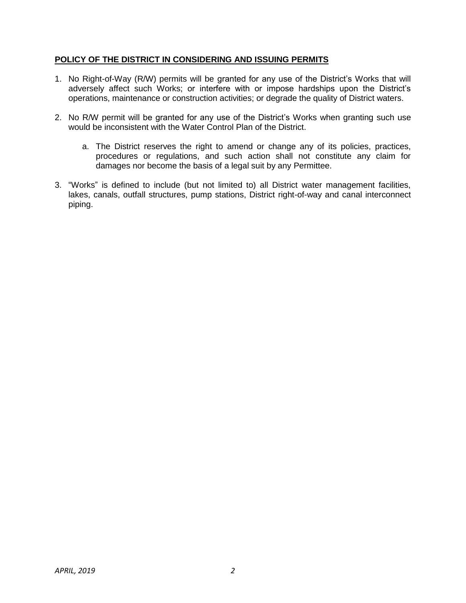#### <span id="page-4-0"></span> **POLICY OF THE DISTRICT IN CONSIDERING AND ISSUING PERMITS**

- 1. No Right-of-Way (R/W) permits will be granted for any use of the District's Works that will adversely affect such Works; or interfere with or impose hardships upon the District's operations, maintenance or construction activities; or degrade the quality of District waters.
- 2. No R/W permit will be granted for any use of the District's Works when granting such use would be inconsistent with the Water Control Plan of the District.
	- a. The District reserves the right to amend or change any of its policies, practices, procedures or regulations, and such action shall not constitute any claim for damages nor become the basis of a legal suit by any Permittee.
- 3. "Works" is defined to include (but not limited to) all District water management facilities, lakes, canals, outfall structures, pump stations, District right-of-way and canal interconnect piping.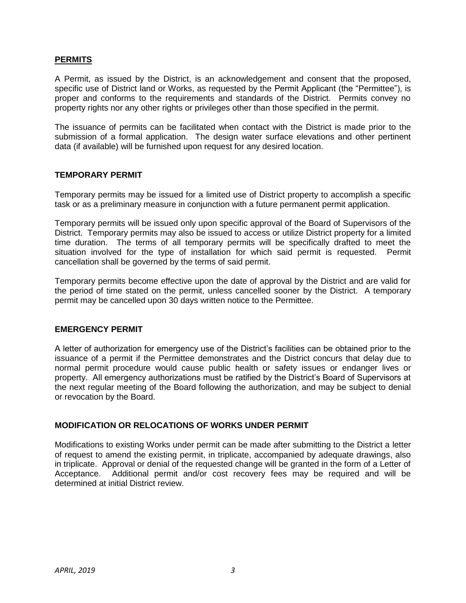#### <span id="page-5-0"></span>**PERMITS**

 A Permit, as issued by the District, is an acknowledgement and consent that the proposed, specific use of District land or Works, as requested by the Permit Applicant (the "Permittee"), is proper and conforms to the requirements and standards of the District. Permits convey no property rights nor any other rights or privileges other than those specified in the permit.

 The issuance of permits can be facilitated when contact with the District is made prior to the submission of a formal application. The design water surface elevations and other pertinent data (if available) will be furnished upon request for any desired location.

#### <span id="page-5-1"></span> **TEMPORARY PERMIT**

 Temporary permits may be issued for a limited use of District property to accomplish a specific task or as a preliminary measure in conjunction with a future permanent permit application.

 Temporary permits will be issued only upon specific approval of the Board of Supervisors of the District. Temporary permits may also be issued to access or utilize District property for a limited time duration. The terms of all temporary permits will be specifically drafted to meet the situation involved for the type of installation for which said permit is requested. Permit cancellation shall be governed by the terms of said permit.

 Temporary permits become effective upon the date of approval by the District and are valid for the period of time stated on the permit, unless cancelled sooner by the District. A temporary permit may be cancelled upon 30 days written notice to the Permittee.

#### <span id="page-5-2"></span> **EMERGENCY PERMIT**

 A letter of authorization for emergency use of the District's facilities can be obtained prior to the issuance of a permit if the Permittee demonstrates and the District concurs that delay due to normal permit procedure would cause public health or safety issues or endanger lives or property. All emergency authorizations must be ratified by the District's Board of Supervisors at the next regular meeting of the Board following the authorization, and may be subject to denial or revocation by the Board.

#### <span id="page-5-3"></span> **MODIFICATION OR RELOCATIONS OF WORKS UNDER PERMIT**

 Modifications to existing Works under permit can be made after submitting to the District a letter of request to amend the existing permit, in triplicate, accompanied by adequate drawings, also in triplicate. Approval or denial of the requested change will be granted in the form of a Letter of Acceptance. Additional permit and/or cost recovery fees may be required and will be determined at initial District review.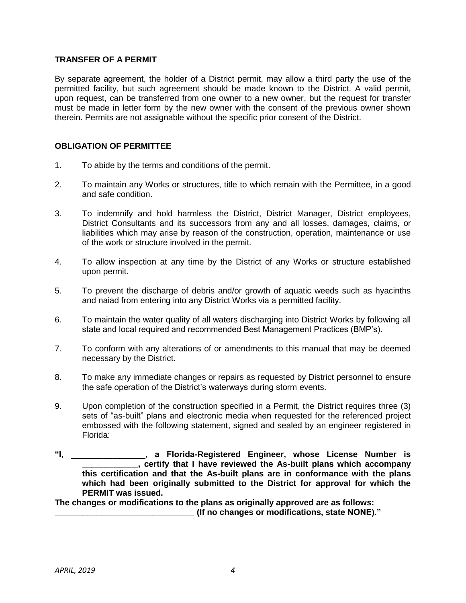#### <span id="page-6-0"></span> **TRANSFER OF A PERMIT**

 By separate agreement, the holder of a District permit, may allow a third party the use of the permitted facility, but such agreement should be made known to the District. A valid permit, upon request, can be transferred from one owner to a new owner, but the request for transfer must be made in letter form by the new owner with the consent of the previous owner shown therein. Permits are not assignable without the specific prior consent of the District.

#### <span id="page-6-1"></span>**OBLIGATION OF PERMITTEE**

- $1<sub>1</sub>$ To abide by the terms and conditions of the permit.
- 2. To maintain any Works or structures, title to which remain with the Permittee, in a good and safe condition.
- 3. To indemnify and hold harmless the District, District Manager, District employees, District Consultants and its successors from any and all losses, damages, claims, or liabilities which may arise by reason of the construction, operation, maintenance or use of the work or structure involved in the permit.
- 4. To allow inspection at any time by the District of any Works or structure established upon permit.
- 5. To prevent the discharge of debris and/or growth of aquatic weeds such as hyacinths and naiad from entering into any District Works via a permitted facility.
- 6. To maintain the water quality of all waters discharging into District Works by following all state and local required and recommended Best Management Practices (BMP's).
- 7. To conform with any alterations of or amendments to this manual that may be deemed necessary by the District.
- 8. To make any immediate changes or repairs as requested by District personnel to ensure the safe operation of the District's waterways during storm events.
- 9. Upon completion of the construction specified in a Permit, the District requires three (3) sets of "as-built" plans and electronic media when requested for the referenced project embossed with the following statement, signed and sealed by an engineer registered in Florida:
- **"I, \_\_\_\_\_\_\_\_\_\_\_\_\_\_\_\_, a Florida-Registered Engineer, whose License Number is \_\_\_\_\_\_\_\_\_\_\_\_, certify that I have reviewed the As-built plans which accompany this certification and that the As-built plans are in conformance with the plans which had been originally submitted to the District for approval for which the PERMIT was issued.**

 **The changes or modifications to the plans as originally approved are as follows: \_\_\_\_\_\_\_\_\_\_\_\_\_\_\_\_\_\_\_\_\_\_\_\_\_\_\_\_\_\_ (If no changes or modifications, state NONE)."**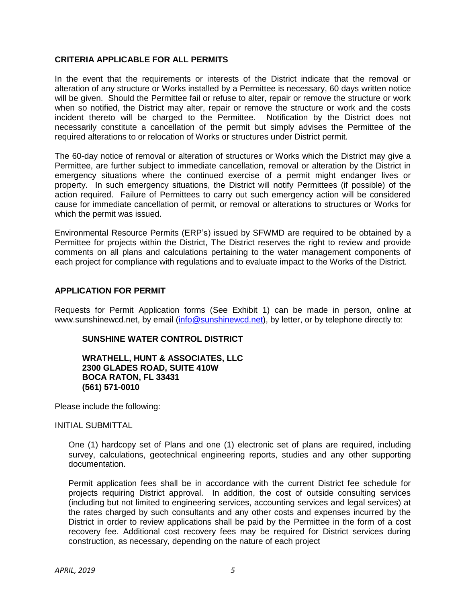#### **CRITERIA APPLICABLE FOR ALL PERMITS**

 In the event that the requirements or interests of the District indicate that the removal or alteration of any structure or Works installed by a Permittee is necessary, 60 days written notice will be given. Should the Permittee fail or refuse to alter, repair or remove the structure or work when so notified, the District may alter, repair or remove the structure or work and the costs incident thereto will be charged to the Permittee. Notification by the District does not necessarily constitute a cancellation of the permit but simply advises the Permittee of the required alterations to or relocation of Works or structures under District permit.

 The 60-day notice of removal or alteration of structures or Works which the District may give a Permittee, are further subject to immediate cancellation, removal or alteration by the District in emergency situations where the continued exercise of a permit might endanger lives or property. In such emergency situations, the District will notify Permittees (if possible) of the action required. Failure of Permittees to carry out such emergency action will be considered cause for immediate cancellation of permit, or removal or alterations to structures or Works for which the permit was issued.

 Environmental Resource Permits (ERP's) issued by SFWMD are required to be obtained by a Permittee for projects within the District, The District reserves the right to review and provide comments on all plans and calculations pertaining to the water management components of each project for compliance with regulations and to evaluate impact to the Works of the District.

#### <span id="page-7-0"></span>**APPLICATION FOR PERMIT**

 Requests for Permit Application forms (See Exhibit 1) can be made in person, online at [www.sunshinewcd.net,](www.sunshinewcd.net) by email [\(info@sunshinewcd.net\)](mailto:info@sunshinewcd.net), by letter, or by telephone directly to:

#### **SUNSHINE WATER CONTROL DISTRICT**

 **WRATHELL, HUNT & ASSOCIATES, LLC 2300 GLADES ROAD, SUITE 410W BOCA RATON, FL 33431 (561) 571-0010** 

Please include the following:

INITIAL SUBMITTAL

 One (1) hardcopy set of Plans and one (1) electronic set of plans are required, including survey, calculations, geotechnical engineering reports, studies and any other supporting documentation.

 Permit application fees shall be in accordance with the current District fee schedule for projects requiring District approval. In addition, the cost of outside consulting services (including but not limited to engineering services, accounting services and legal services) at the rates charged by such consultants and any other costs and expenses incurred by the District in order to review applications shall be paid by the Permittee in the form of a cost recovery fee. Additional cost recovery fees may be required for District services during construction, as necessary, depending on the nature of each project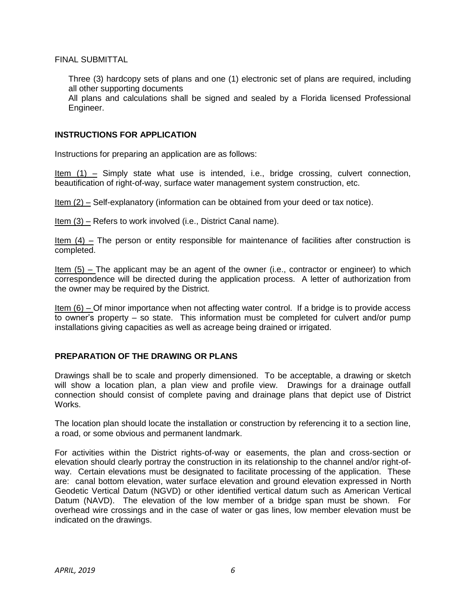FINAL SUBMITTAL

 Three (3) hardcopy sets of plans and one (1) electronic set of plans are required, including all other supporting documents

 All plans and calculations shall be signed and sealed by a Florida licensed Professional Engineer.

#### <span id="page-8-0"></span>**INSTRUCTIONS FOR APPLICATION**

Instructions for preparing an application are as follows:

Item (1) – Simply state what use is intended, i.e., bridge crossing, culvert connection, beautification of right-of-way, surface water management system construction, etc.

Item (2) – Self-explanatory (information can be obtained from your deed or tax notice).

Item (3) – Refers to work involved (i.e., District Canal name).

Item  $(4)$  – The person or entity responsible for maintenance of facilities after construction is completed.

Item (5) – The applicant may be an agent of the owner (i.e., contractor or engineer) to which correspondence will be directed during the application process. A letter of authorization from the owner may be required by the District.

Item (6) – Of minor importance when not affecting water control. If a bridge is to provide access to owner's property – so state. This information must be completed for culvert and/or pump installations giving capacities as well as acreage being drained or irrigated.

#### <span id="page-8-1"></span> **PREPARATION OF THE DRAWING OR PLANS**

 Drawings shall be to scale and properly dimensioned. To be acceptable, a drawing or sketch will show a location plan, a plan view and profile view. Drawings for a drainage outfall connection should consist of complete paving and drainage plans that depict use of District Works.

 The location plan should locate the installation or construction by referencing it to a section line, a road, or some obvious and permanent landmark.

 For activities within the District rights-of-way or easements, the plan and cross-section or elevation should clearly portray the construction in its relationship to the channel and/or right-of- way. Certain elevations must be designated to facilitate processing of the application. These are: canal bottom elevation, water surface elevation and ground elevation expressed in North Geodetic Vertical Datum (NGVD) or other identified vertical datum such as American Vertical Datum (NAVD). The elevation of the low member of a bridge span must be shown. For overhead wire crossings and in the case of water or gas lines, low member elevation must be indicated on the drawings.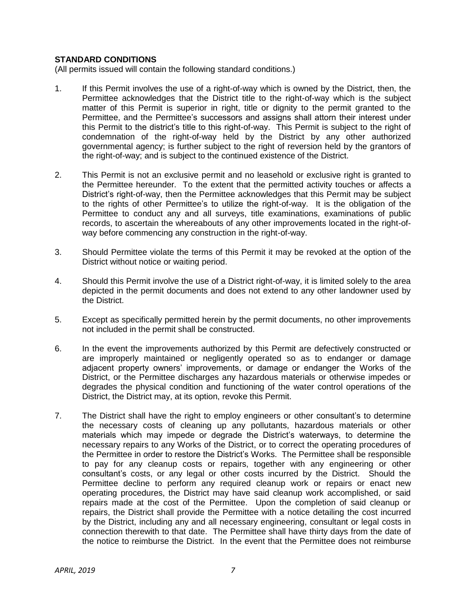#### <span id="page-9-0"></span> **STANDARD CONDITIONS**

(All permits issued will contain the following standard conditions.)

- $1<sub>1</sub>$  Permittee acknowledges that the District title to the right-of-way which is the subject matter of this Permit is superior in right, title or dignity to the permit granted to the Permittee, and the Permittee's successors and assigns shall attorn their interest under this Permit to the district's title to this right-of-way. This Permit is subject to the right of condemnation of the right-of-way held by the District by any other authorized governmental agency; is further subject to the right of reversion held by the grantors of the right-of-way; and is subject to the continued existence of the District. If this Permit involves the use of a right-of-way which is owned by the District, then, the
- 2. This Permit is not an exclusive permit and no leasehold or exclusive right is granted to the Permittee hereunder. To the extent that the permitted activity touches or affects a District's right-of-way, then the Permittee acknowledges that this Permit may be subject to the rights of other Permittee's to utilize the right-of-way. It is the obligation of the Permittee to conduct any and all surveys, title examinations, examinations of public records, to ascertain the whereabouts of any other improvements located in the right-of-way before commencing any construction in the right-of-way.
- 3. Should Permittee violate the terms of this Permit it may be revoked at the option of the District without notice or waiting period.
- 4. Should this Permit involve the use of a District right-of-way, it is limited solely to the area depicted in the permit documents and does not extend to any other landowner used by the District.
- 5. Except as specifically permitted herein by the permit documents, no other improvements not included in the permit shall be constructed.
- 6. adjacent property owners' improvements, or damage or endanger the Works of the District, or the Permittee discharges any hazardous materials or otherwise impedes or degrades the physical condition and functioning of the water control operations of the District, the District may, at its option, revoke this Permit. 6. In the event the improvements authorized by this Permit are defectively constructed or are improperly maintained or negligently operated so as to endanger or damage
- $7<sub>1</sub>$  the necessary costs of cleaning up any pollutants, hazardous materials or other materials which may impede or degrade the District's waterways, to determine the necessary repairs to any Works of the District, or to correct the operating procedures of the Permittee in order to restore the District's Works. The Permittee shall be responsible to pay for any cleanup costs or repairs, together with any engineering or other consultant's costs, or any legal or other costs incurred by the District. Should the Permittee decline to perform any required cleanup work or repairs or enact new operating procedures, the District may have said cleanup work accomplished, or said repairs made at the cost of the Permittee. Upon the completion of said cleanup or repairs, the District shall provide the Permittee with a notice detailing the cost incurred by the District, including any and all necessary engineering, consultant or legal costs in connection therewith to that date. The Permittee shall have thirty days from the date of the notice to reimburse the District. In the event that the Permittee does not reimburse The District shall have the right to employ engineers or other consultant's to determine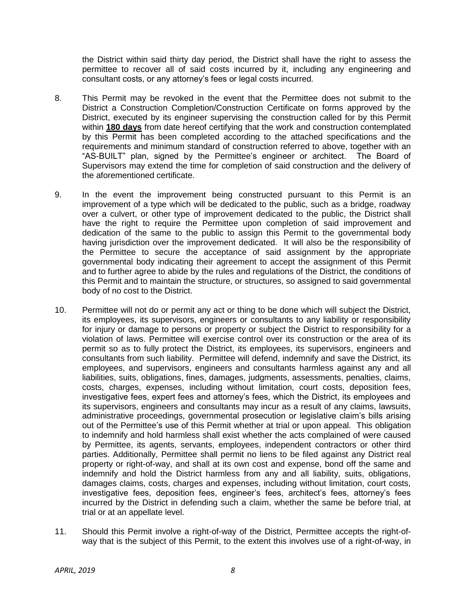the District within said thirty day period, the District shall have the right to assess the permittee to recover all of said costs incurred by it, including any engineering and consultant costs, or any attorney's fees or legal costs incurred.

- 8. This Permit may be revoked in the event that the Permittee does not submit to the District a Construction Completion/Construction Certificate on forms approved by the District, executed by its engineer supervising the construction called for by this Permit within **180 days** from date hereof certifying that the work and construction contemplated by this Permit has been completed according to the attached specifications and the requirements and minimum standard of construction referred to above, together with an "AS-BUILT" plan, signed by the Permittee's engineer or architect. The Board of Supervisors may extend the time for completion of said construction and the delivery of the aforementioned certificate.
- 9. In the event the improvement being constructed pursuant to this Permit is an improvement of a type which will be dedicated to the public, such as a bridge, roadway over a culvert, or other type of improvement dedicated to the public, the District shall have the right to require the Permittee upon completion of said improvement and dedication of the same to the public to assign this Permit to the governmental body having jurisdiction over the improvement dedicated. It will also be the responsibility of the Permittee to secure the acceptance of said assignment by the appropriate governmental body indicating their agreement to accept the assignment of this Permit and to further agree to abide by the rules and regulations of the District, the conditions of this Permit and to maintain the structure, or structures, so assigned to said governmental body of no cost to the District.
- 10. Permittee will not do or permit any act or thing to be done which will subject the District, its employees, its supervisors, engineers or consultants to any liability or responsibility for injury or damage to persons or property or subject the District to responsibility for a violation of laws. Permittee will exercise control over its construction or the area of its permit so as to fully protect the District, its employees, its supervisors, engineers and consultants from such liability. Permittee will defend, indemnify and save the District, its employees, and supervisors, engineers and consultants harmless against any and all costs, charges, expenses, including without limitation, court costs, deposition fees, investigative fees, expert fees and attorney's fees, which the District, its employees and its supervisors, engineers and consultants may incur as a result of any claims, lawsuits, out of the Permittee's use of this Permit whether at trial or upon appeal. This obligation to indemnify and hold harmless shall exist whether the acts complained of were caused by Permittee, its agents, servants, employees, independent contractors or other third parties. Additionally, Permittee shall permit no liens to be filed against any District real property or right-of-way, and shall at its own cost and expense, bond off the same and indemnify and hold the District harmless from any and all liability, suits, obligations, damages claims, costs, charges and expenses, including without limitation, court costs, investigative fees, deposition fees, engineer's fees, architect's fees, attorney's fees incurred by the District in defending such a claim, whether the same be before trial, at trial or at an appellate level. liabilities, suits, obligations, fines, damages, judgments, assessments, penalties, claims, administrative proceedings, governmental prosecution or legislative claim's bills arising
- 11. Should this Permit involve a right-of-way of the District, Permittee accepts the right-of-way that is the subject of this Permit, to the extent this involves use of a right-of-way, in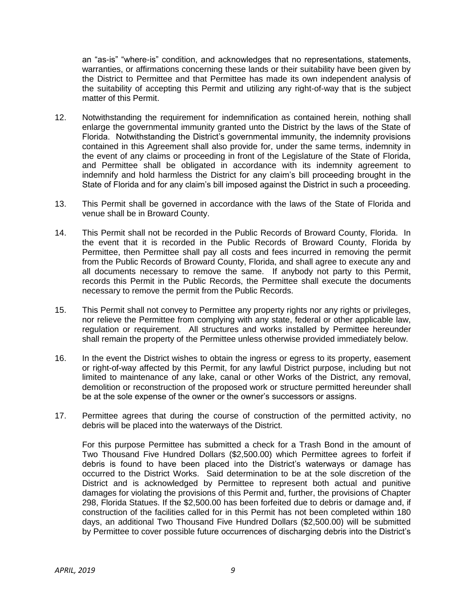an "as-is" "where-is" condition, and acknowledges that no representations, statements, warranties, or affirmations concerning these lands or their suitability have been given by the District to Permittee and that Permittee has made its own independent analysis of the suitability of accepting this Permit and utilizing any right-of-way that is the subject matter of this Permit.

- 12. Notwithstanding the requirement for indemnification as contained herein, nothing shall enlarge the governmental immunity granted unto the District by the laws of the State of Florida. Notwithstanding the District's governmental immunity, the indemnity provisions contained in this Agreement shall also provide for, under the same terms, indemnity in the event of any claims or proceeding in front of the Legislature of the State of Florida, and Permittee shall be obligated in accordance with its indemnity agreement to indemnify and hold harmless the District for any claim's bill proceeding brought in the State of Florida and for any claim's bill imposed against the District in such a proceeding.
- 13. This Permit shall be governed in accordance with the laws of the State of Florida and venue shall be in Broward County.
- 14. This Permit shall not be recorded in the Public Records of Broward County, Florida. In the event that it is recorded in the Public Records of Broward County, Florida by Permittee, then Permittee shall pay all costs and fees incurred in removing the permit from the Public Records of Broward County, Florida, and shall agree to execute any and all documents necessary to remove the same. If anybody not party to this Permit, records this Permit in the Public Records, the Permittee shall execute the documents necessary to remove the permit from the Public Records.
- 15. This Permit shall not convey to Permittee any property rights nor any rights or privileges, nor relieve the Permittee from complying with any state, federal or other applicable law, regulation or requirement. All structures and works installed by Permittee hereunder shall remain the property of the Permittee unless otherwise provided immediately below.
- $16<sub>1</sub>$  or right-of-way affected by this Permit, for any lawful District purpose, including but not limited to maintenance of any lake, canal or other Works of the District, any removal, demolition or reconstruction of the proposed work or structure permitted hereunder shall be at the sole expense of the owner or the owner's successors or assigns. In the event the District wishes to obtain the ingress or egress to its property, easement
- 17. Permittee agrees that during the course of construction of the permitted activity, no debris will be placed into the waterways of the District.

 For this purpose Permittee has submitted a check for a Trash Bond in the amount of Two Thousand Five Hundred Dollars ([\\$2,500.00\)](https://2,500.00) which Permittee agrees to forfeit if occurred to the District Works. Said determination to be at the sole discretion of the District and is acknowledged by Permittee to represent both actual and punitive damages for violating the provisions of this Permit and, further, the provisions of Chapter 298, Florida Statues. If the \$[2,500.00](https://2,500.00) has been forfeited due to debris or damage and, if construction of the facilities called for in this Permit has not been completed within 180 days, an additional Two Thousand Five Hundred Dollars ([\\$2,500.00](https://2,500.00)) will be submitted by Permittee to cover possible future occurrences of discharging debris into the District's debris is found to have been placed into the District's waterways or damage has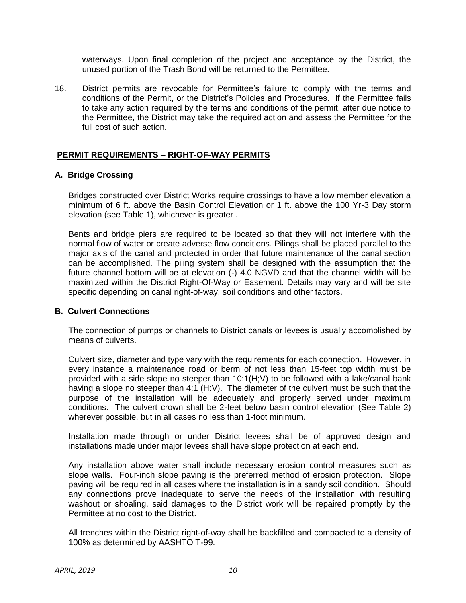waterways. Upon final completion of the project and acceptance by the District, the unused portion of the Trash Bond will be returned to the Permittee.

 $18.$  conditions of the Permit, or the District's Policies and Procedures. If the Permittee fails to take any action required by the terms and conditions of the permit, after due notice to the Permittee, the District may take the required action and assess the Permittee for the full cost of such action. District permits are revocable for Permittee's failure to comply with the terms and

#### <span id="page-12-0"></span> **PERMIT REQUIREMENTS – RIGHT-OF-WAY PERMITS**

#### <span id="page-12-1"></span> **A. Bridge Crossing**

 minimum of 6 ft. above the Basin Control Elevation or 1 ft. above the 100 Yr-3 Day storm elevation (see Table 1), whichever is greater . Bridges constructed over District Works require crossings to have a low member elevation a

 Bents and bridge piers are required to be located so that they will not interfere with the normal flow of water or create adverse flow conditions. Pilings shall be placed parallel to the major axis of the canal and protected in order that future maintenance of the canal section can be accomplished. The piling system shall be designed with the assumption that the future channel bottom will be at elevation (-) 4.0 NGVD and that the channel width will be maximized within the District Right-Of-Way or Easement. Details may vary and will be site specific depending on canal right-of-way, soil conditions and other factors.

#### <span id="page-12-2"></span> **B. Culvert Connections**

 The connection of pumps or channels to District canals or levees is usually accomplished by means of culverts.

 Culvert size, diameter and type vary with the requirements for each connection. However, in every instance a maintenance road or berm of not less than 15-feet top width must be provided with a side slope no steeper than 10:1(H;V) to be followed with a lake/canal bank having a slope no steeper than 4:1 (H:V). The diameter of the culvert must be such that the purpose of the installation will be adequately and properly served under maximum conditions. The culvert crown shall be 2-feet below basin control elevation (See Table 2) wherever possible, but in all cases no less than 1-foot minimum.

 Installation made through or under District levees shall be of approved design and installations made under major levees shall have slope protection at each end.

 Any installation above water shall include necessary erosion control measures such as slope walls. Four-inch slope paving is the preferred method of erosion protection. Slope paving will be required in all cases where the installation is in a sandy soil condition. Should any connections prove inadequate to serve the needs of the installation with resulting washout or shoaling, said damages to the District work will be repaired promptly by the Permittee at no cost to the District.

 All trenches within the District right-of-way shall be backfilled and compacted to a density of 100% as determined by AASHTO T-99.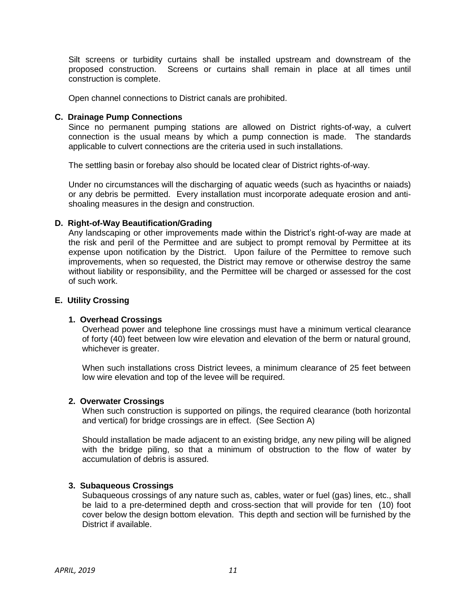Silt screens or turbidity curtains shall be installed upstream and downstream of the proposed construction. Screens or curtains shall remain in place at all times until construction is complete.

Open channel connections to District canals are prohibited.

#### <span id="page-13-0"></span> **C. Drainage Pump Connections**

 Since no permanent pumping stations are allowed on District rights-of-way, a culvert connection is the usual means by which a pump connection is made. The standards applicable to culvert connections are the criteria used in such installations.

The settling basin or forebay also should be located clear of District rights-of-way.

 Under no circumstances will the discharging of aquatic weeds (such as hyacinths or naiads) or any debris be permitted. Every installation must incorporate adequate erosion and anti-shoaling measures in the design and construction.

#### <span id="page-13-1"></span> **D. Right-of-Way Beautification/Grading**

 Any landscaping or other improvements made within the District's right-of-way are made at the risk and peril of the Permittee and are subject to prompt removal by Permittee at its expense upon notification by the District. Upon failure of the Permittee to remove such improvements, when so requested, the District may remove or otherwise destroy the same without liability or responsibility, and the Permittee will be charged or assessed for the cost of such work.

#### <span id="page-13-2"></span> **E. Utility Crossing**

#### <span id="page-13-3"></span> **1. Overhead Crossings**

 Overhead power and telephone line crossings must have a minimum vertical clearance of forty (40) feet between low wire elevation and elevation of the berm or natural ground, whichever is greater.

 When such installations cross District levees, a minimum clearance of 25 feet between low wire elevation and top of the levee will be required.

#### <span id="page-13-4"></span>**2. Overwater Crossings**

 When such construction is supported on pilings, the required clearance (both horizontal and vertical) for bridge crossings are in effect. (See Section A)

 Should installation be made adjacent to an existing bridge, any new piling will be aligned with the bridge piling, so that a minimum of obstruction to the flow of water by accumulation of debris is assured.

#### <span id="page-13-5"></span>**3. Subaqueous Crossings**

 Subaqueous crossings of any nature such as, cables, water or fuel (gas) lines, etc., shall be laid to a pre-determined depth and cross-section that will provide for ten (10) foot cover below the design bottom elevation. This depth and section will be furnished by the District if available.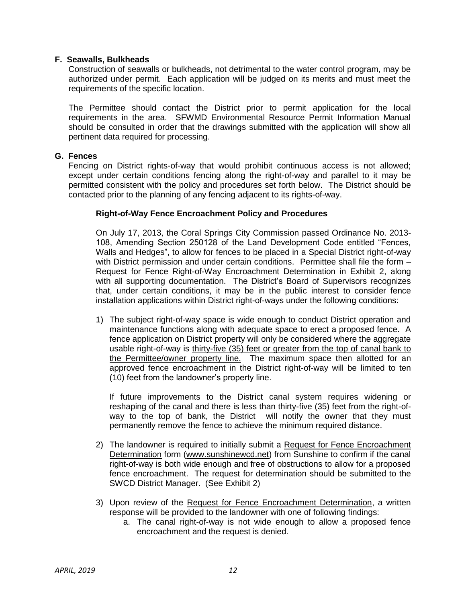#### <span id="page-14-0"></span> **F. Seawalls, Bulkheads**

 Construction of seawalls or bulkheads, not detrimental to the water control program, may be authorized under permit. Each application will be judged on its merits and must meet the requirements of the specific location.

 The Permittee should contact the District prior to permit application for the local requirements in the area. SFWMD Environmental Resource Permit Information Manual should be consulted in order that the drawings submitted with the application will show all pertinent data required for processing.

#### <span id="page-14-1"></span> **G. Fences**

 Fencing on District rights-of-way that would prohibit continuous access is not allowed; except under certain conditions fencing along the right-of-way and parallel to it may be permitted consistent with the policy and procedures set forth below. The District should be contacted prior to the planning of any fencing adjacent to its rights-of-way.

#### **Right-of-Way Fence Encroachment Policy and Procedures**

 On July 17, 2013, the Coral Springs City Commission passed Ordinance No. 2013- 108, Amending Section 250128 of the Land Development Code entitled "Fences, Walls and Hedges", to allow for fences to be placed in a Special District right-of-way with District permission and under certain conditions. Permittee shall file the form – Request for Fence Right-of-Way Encroachment Determination in Exhibit 2, along with all supporting documentation. The District's Board of Supervisors recognizes that, under certain conditions, it may be in the public interest to consider fence installation applications within District right-of-ways under the following conditions:

 1) The subject right-of-way space is wide enough to conduct District operation and maintenance functions along with adequate space to erect a proposed fence. A fence application on District property will only be considered where the aggregate usable right-of-way is thirty-five (35) feet or greater from the top of canal bank to the Permittee/owner property line. The maximum space then allotted for an approved fence encroachment in the District right-of-way will be limited to ten (10) feet from the landowner's property line.

 reshaping of the canal and there is less than thirty-five (35) feet from the right-of- way to the top of bank, the District will notify the owner that they must permanently remove the fence to achieve the minimum required distance. If future improvements to the District canal system requires widening or

- 2) The landowner is required to initially submit a Request for Fence Encroachment Determination form ([www.sunshinewcd.net\)](www.sunshinewcd.net) from Sunshine to confirm if the canal right-of-way is both wide enough and free of obstructions to allow for a proposed fence encroachment. The request for determination should be submitted to the SWCD District Manager. (See Exhibit 2)
- 3) Upon review of the Request for Fence Encroachment Determination, a written response will be provided to the landowner with one of following findings:
	- a. The canal right-of-way is not wide enough to allow a proposed fence encroachment and the request is denied.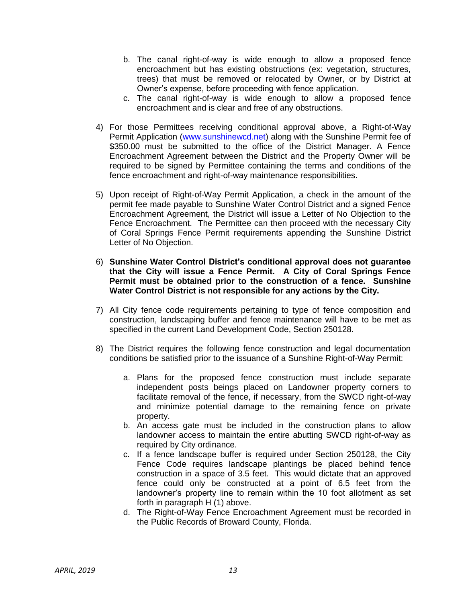- b. The canal right-of-way is wide enough to allow a proposed fence encroachment but has existing obstructions (ex: vegetation, structures, trees) that must be removed or relocated by Owner, or by District at Owner's expense, before proceeding with fence application.
- c. The canal right-of-way is wide enough to allow a proposed fence encroachment and is clear and free of any obstructions.
- 4) For those Permittees receiving conditional approval above, a Right-of-Way Permit Application [\(www.sunshinewcd.net\)](http://www.sunshinewcd.net/) along with the Sunshine Permit fee of \$350.00 must be submitted to the office of the District Manager. A Fence Encroachment Agreement between the District and the Property Owner will be required to be signed by Permittee containing the terms and conditions of the fence encroachment and right-of-way maintenance responsibilities.
- 5) Upon receipt of Right-of-Way Permit Application, a check in the amount of the permit fee made payable to Sunshine Water Control District and a signed Fence Encroachment Agreement, the District will issue a Letter of No Objection to the Fence Encroachment. The Permittee can then proceed with the necessary City of Coral Springs Fence Permit requirements appending the Sunshine District Letter of No Objection.
- 6) **Sunshine Water Control District's conditional approval does not guarantee that the City will issue a Fence Permit. A City of Coral Springs Fence Permit must be obtained prior to the construction of a fence. Sunshine Water Control District is not responsible for any actions by the City.**
- 7) All City fence code requirements pertaining to type of fence composition and construction, landscaping buffer and fence maintenance will have to be met as specified in the current Land Development Code, Section 250128.
- 8) The District requires the following fence construction and legal documentation conditions be satisfied prior to the issuance of a Sunshine Right-of-Way Permit:
	- independent posts beings placed on Landowner property corners to facilitate removal of the fence, if necessary, from the SWCD right-of-way and minimize potential damage to the remaining fence on private a. Plans for the proposed fence construction must include separate property.
	- b. An access gate must be included in the construction plans to allow landowner access to maintain the entire abutting SWCD right-of-way as required by City ordinance.
	- c. If a fence landscape buffer is required under Section 250128, the City Fence Code requires landscape plantings be placed behind fence construction in a space of 3.5 feet. This would dictate that an approved fence could only be constructed at a point of 6.5 feet from the landowner's property line to remain within the 10 foot allotment as set forth in paragraph H (1) above.
	- d. The Right-of-Way Fence Encroachment Agreement must be recorded in the Public Records of Broward County, Florida.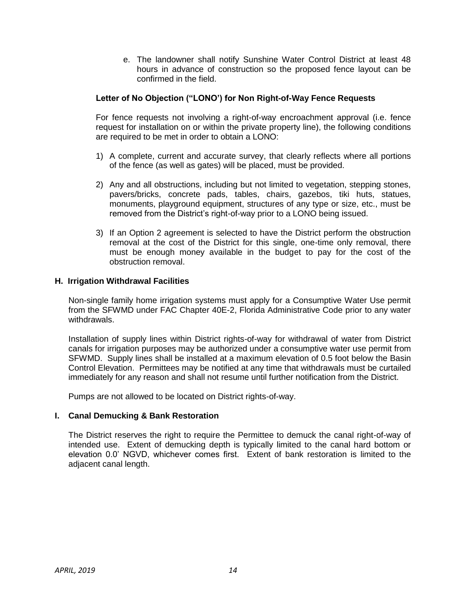e. The landowner shall notify Sunshine Water Control District at least 48 hours in advance of construction so the proposed fence layout can be confirmed in the field.

#### **Letter of No Objection ("LONO') for Non Right-of-Way Fence Requests**

 For fence requests not involving a right-of-way encroachment approval (i.e. fence request for installation on or within the private property line), the following conditions are required to be met in order to obtain a LONO:

- 1) A complete, current and accurate survey, that clearly reflects where all portions of the fence (as well as gates) will be placed, must be provided.
- 2) Any and all obstructions, including but not limited to vegetation, stepping stones, pavers/bricks, concrete pads, tables, chairs, gazebos, tiki huts, statues, monuments, playground equipment, structures of any type or size, etc., must be removed from the District's right-of-way prior to a LONO being issued.
- 3) If an Option 2 agreement is selected to have the District perform the obstruction removal at the cost of the District for this single, one-time only removal, there must be enough money available in the budget to pay for the cost of the obstruction removal.

#### <span id="page-16-0"></span> **H. Irrigation Withdrawal Facilities**

 Non-single family home irrigation systems must apply for a Consumptive Water Use permit from the SFWMD under FAC Chapter 40E-2, Florida Administrative Code prior to any water withdrawals.

 Installation of supply lines within District rights-of-way for withdrawal of water from District canals for irrigation purposes may be authorized under a consumptive water use permit from SFWMD. Supply lines shall be installed at a maximum elevation of 0.5 foot below the Basin Control Elevation. Permittees may be notified at any time that withdrawals must be curtailed immediately for any reason and shall not resume until further notification from the District.

Pumps are not allowed to be located on District rights-of-way.

#### <span id="page-16-1"></span> **I. Canal Demucking & Bank Restoration**

 The District reserves the right to require the Permittee to demuck the canal right-of-way of intended use. Extent of demucking depth is typically limited to the canal hard bottom or elevation 0.0' NGVD, whichever comes first. Extent of bank restoration is limited to the adjacent canal length.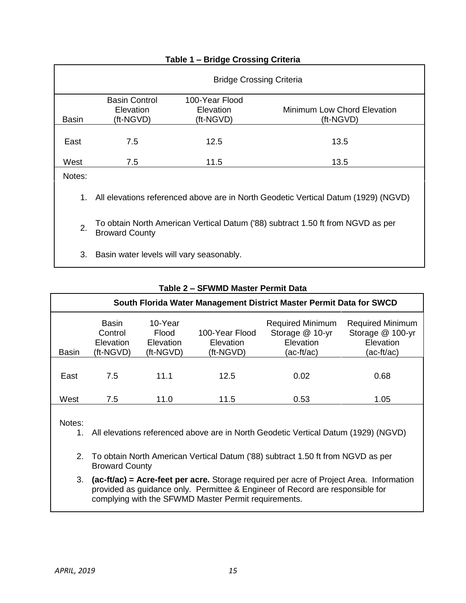<span id="page-17-0"></span>

|        | <b>Bridge Crossing Criteria</b>                                                                          |                                          |                                          |  |
|--------|----------------------------------------------------------------------------------------------------------|------------------------------------------|------------------------------------------|--|
| Basin  | <b>Basin Control</b><br>Elevation<br>(ft-NGVD)                                                           | 100-Year Flood<br>Elevation<br>(ft-NGVD) | Minimum Low Chord Elevation<br>(ft-NGVD) |  |
| East   | 7.5                                                                                                      | 12.5                                     | 13.5                                     |  |
| West   | 7.5                                                                                                      | 11.5                                     | 13.5                                     |  |
| Notes: |                                                                                                          |                                          |                                          |  |
| 1.     | All elevations referenced above are in North Geodetic Vertical Datum (1929) (NGVD)                       |                                          |                                          |  |
| 2.     | To obtain North American Vertical Datum ('88) subtract 1.50 ft from NGVD as per<br><b>Broward County</b> |                                          |                                          |  |
| 3.     | Basin water levels will vary seasonably.                                                                 |                                          |                                          |  |

## **Table 1 – Bridge Crossing Criteria**

## **Table 2 – SFWMD Master Permit Data**

<span id="page-17-1"></span>

| South Florida Water Management District Master Permit Data for SWCD |                                                          |                                            |                                          |                                                                         |                                                                        |
|---------------------------------------------------------------------|----------------------------------------------------------|--------------------------------------------|------------------------------------------|-------------------------------------------------------------------------|------------------------------------------------------------------------|
| <b>Basin</b>                                                        | <b>Basin</b><br>Control<br><b>Elevation</b><br>(ft-NGVD) | 10-Year<br>Flood<br>Elevation<br>(ft-NGVD) | 100-Year Flood<br>Elevation<br>(ft-NGVD) | <b>Required Minimum</b><br>Storage @ 10-yr<br>Elevation<br>$(ac-ft/ac)$ | <b>Required Minimum</b><br>Storage @ 100-yr<br>Elevation<br>(ac-ft/ac) |
| East                                                                | 7.5                                                      | 11.1                                       | 12.5                                     | 0.02                                                                    | 0.68                                                                   |
| West                                                                | 7.5                                                      | 11.0                                       | 11.5                                     | 0.53                                                                    | 1.05                                                                   |

Notes:

- 1. All elevations referenced above are in North Geodetic Vertical Datum (1929) (NGVD)
- 2. To obtain North American Vertical Datum ('88) subtract 1.50 ft from NGVD as per Broward County
- 3. **(ac-ft/ac) = Acre-feet per acre.** Storage required per acre of Project Area. Information provided as guidance only. Permittee & Engineer of Record are responsible for complying with the SFWMD Master Permit requirements.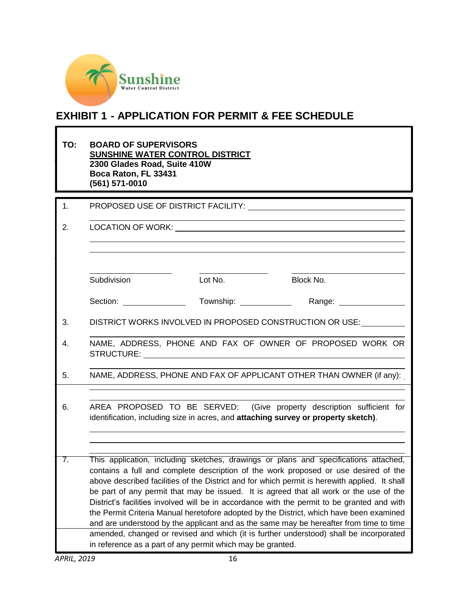

# **EXHIBIT 1 - APPLICATION FOR PERMIT & FEE SCHEDULE**

| TO: | <b>BOARD OF SUPERVISORS</b><br>2300 Glades Road, Suite 410W<br>Boca Raton, FL 33431<br>(561) 571-0010 | SUNSHINE WATER CONTROL DISTRICT |                                                                                                                                                                                                                                                                                                                                                                                                                                                                                                                                                                                                                                                                                                                                                      |
|-----|-------------------------------------------------------------------------------------------------------|---------------------------------|------------------------------------------------------------------------------------------------------------------------------------------------------------------------------------------------------------------------------------------------------------------------------------------------------------------------------------------------------------------------------------------------------------------------------------------------------------------------------------------------------------------------------------------------------------------------------------------------------------------------------------------------------------------------------------------------------------------------------------------------------|
| 1.  |                                                                                                       |                                 | PROPOSED USE OF DISTRICT FACILITY: University Analysis of PROPOSED USE OF DISTRICT FACILITY:                                                                                                                                                                                                                                                                                                                                                                                                                                                                                                                                                                                                                                                         |
| 2.  |                                                                                                       |                                 |                                                                                                                                                                                                                                                                                                                                                                                                                                                                                                                                                                                                                                                                                                                                                      |
|     | Subdivision                                                                                           | Lot No.                         | Block No.                                                                                                                                                                                                                                                                                                                                                                                                                                                                                                                                                                                                                                                                                                                                            |
|     | Section: <u>_______________________</u>                                                               | Township: ______________        | Range: _________________                                                                                                                                                                                                                                                                                                                                                                                                                                                                                                                                                                                                                                                                                                                             |
| 3.  |                                                                                                       |                                 | DISTRICT WORKS INVOLVED IN PROPOSED CONSTRUCTION OR USE:                                                                                                                                                                                                                                                                                                                                                                                                                                                                                                                                                                                                                                                                                             |
| 4.  |                                                                                                       |                                 | NAME, ADDRESS, PHONE AND FAX OF OWNER OF PROPOSED WORK OR                                                                                                                                                                                                                                                                                                                                                                                                                                                                                                                                                                                                                                                                                            |
| 5.  |                                                                                                       |                                 | NAME, ADDRESS, PHONE AND FAX OF APPLICANT OTHER THAN OWNER (if any):                                                                                                                                                                                                                                                                                                                                                                                                                                                                                                                                                                                                                                                                                 |
| 6.  |                                                                                                       |                                 | AREA PROPOSED TO BE SERVED: (Give property description sufficient for<br>identification, including size in acres, and attaching survey or property sketch).                                                                                                                                                                                                                                                                                                                                                                                                                                                                                                                                                                                          |
| 7.  |                                                                                                       |                                 | This application, including sketches, drawings or plans and specifications attached,<br>contains a full and complete description of the work proposed or use desired of the<br>above described facilities of the District and for which permit is herewith applied. It shall<br>be part of any permit that may be issued. It is agreed that all work or the use of the<br>District's facilities involved will be in accordance with the permit to be granted and with<br>the Permit Criteria Manual heretofore adopted by the District, which have been examined<br>and are understood by the applicant and as the same may be hereafter from time to time<br>amended, changed or revised and which (it is further understood) shall be incorporated |

in reference as a part of any permit which may be granted.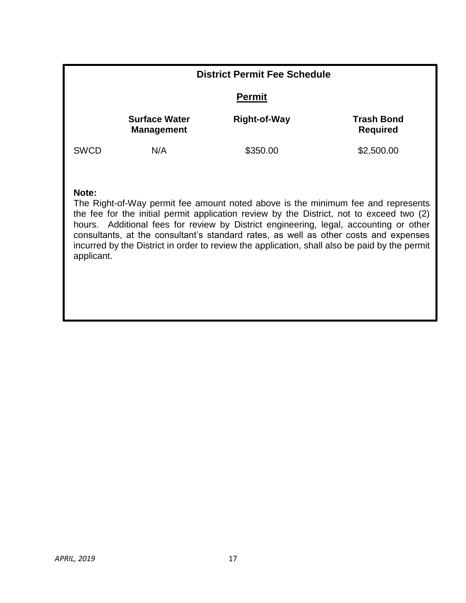| <b>District Permit Fee Schedule</b>                                                                                                                                                                                                                                                                                                                                                                                                                                                   |                                           |                     |                                      |  |
|---------------------------------------------------------------------------------------------------------------------------------------------------------------------------------------------------------------------------------------------------------------------------------------------------------------------------------------------------------------------------------------------------------------------------------------------------------------------------------------|-------------------------------------------|---------------------|--------------------------------------|--|
| <b>Permit</b>                                                                                                                                                                                                                                                                                                                                                                                                                                                                         |                                           |                     |                                      |  |
|                                                                                                                                                                                                                                                                                                                                                                                                                                                                                       | <b>Surface Water</b><br><b>Management</b> | <b>Right-of-Way</b> | <b>Trash Bond</b><br><b>Required</b> |  |
| <b>SWCD</b>                                                                                                                                                                                                                                                                                                                                                                                                                                                                           | N/A                                       | \$350.00            | \$2,500.00                           |  |
| Note:<br>The Right-of-Way permit fee amount noted above is the minimum fee and represents<br>the fee for the initial permit application review by the District, not to exceed two (2)<br>hours. Additional fees for review by District engineering, legal, accounting or other<br>consultants, at the consultant's standard rates, as well as other costs and expenses<br>incurred by the District in order to review the application, shall also be paid by the permit<br>applicant. |                                           |                     |                                      |  |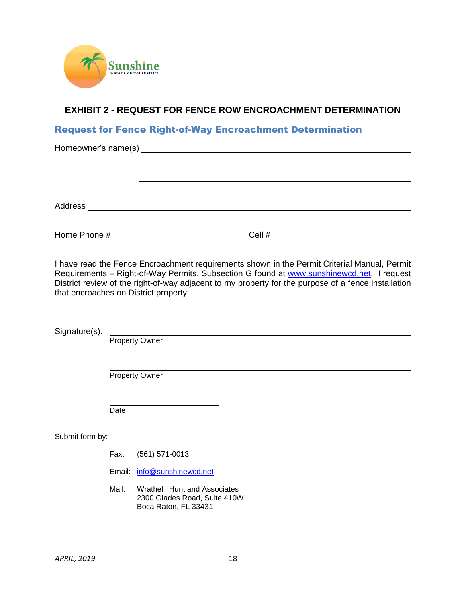

# <span id="page-20-0"></span> **EXHIBIT 2 - REQUEST FOR FENCE ROW ENCROACHMENT DETERMINATION**

# Request for Fence Right-of-Way Encroachment Determination

| Address<br><u> 1980 - Jan Sterling von Berling von Berling von Berling von Berling von Berling von Berling von Berling von B</u> |        |  |
|----------------------------------------------------------------------------------------------------------------------------------|--------|--|
|                                                                                                                                  |        |  |
| Home Phone #                                                                                                                     | Cell # |  |

 I have read the Fence Encroachment requirements shown in the Permit Criterial Manual, Permit Requirements – Right-of-Way Permits, Subsection G found at **www.sunshinewcd.net.** I request District review of the right-of-way adjacent to my property for the purpose of a fence installation that encroaches on District property.

Signature(s):

Property Owner

Property Owner

Date

Submit form by:

- Fax: (561) 571-0013
- Email: [info@sunshinewcd.net](mailto:info@sunshinewcd.net)
- Mail: Wrathell, Hunt and Associates 2300 Glades Road, Suite 410W Boca Raton, FL 33431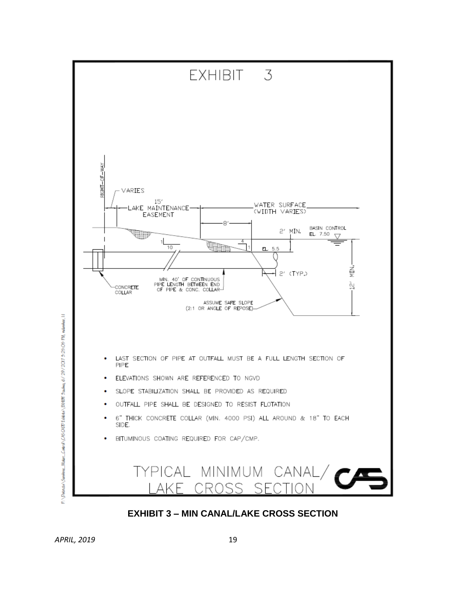

<span id="page-21-0"></span>*APRIL, 2019* 19